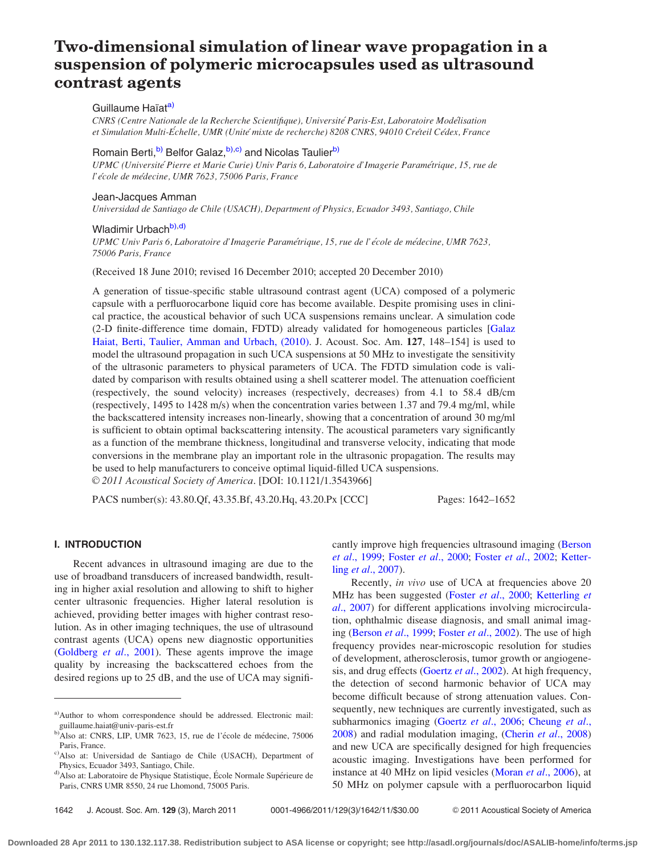# Two-dimensional simulation of linear wave propagation in a suspension of polymeric microcapsules used as ultrasound contrast agents

# Guillaume Haïat<sup>a)</sup>

CNRS (Centre Nationale de la Recherche Scientifique), Universite´ Paris-Est, Laboratoire Mode´lisation et Simulation Multi-Échelle, UMR (Unité mixte de recherche) 8208 CNRS, 94010 Créteil Cédex, France

# Romain Berti,<sup>b)</sup> Belfor Galaz,<sup>b),c)</sup> and Nicolas Taulier<sup>b)</sup>

UPMC (Université Pierre et Marie Curie) Univ Paris 6, Laboratoire d'Imagerie Paramétrique, 15, rue de l'école de médecine, UMR 7623, 75006 Paris, France

# Jean-Jacques Amman

Universidad de Santiago de Chile (USACH), Department of Physics, Ecuador 3493, Santiago, Chile

# Wladimir Urbachb),d)

UPMC Univ Paris 6, Laboratoire d'Imagerie Paramétrique, 15, rue de l'école de médecine, UMR 7623, 75006 Paris, France

(Received 18 June 2010; revised 16 December 2010; accepted 20 December 2010)

A generation of tissue-specific stable ultrasound contrast agent (UCA) composed of a polymeric capsule with a perfluorocarbone liquid core has become available. Despite promising uses in clinical practice, the acoustical behavior of such UCA suspensions remains unclear. A simulation code (2-D finite-difference time domain, FDTD) already validated for homogeneous particles [\[Galaz](#page-9-0) [Haiat, Berti, Taulier, Amman and Urbach, \(2010\).](#page-9-0) J. Acoust. Soc. Am. 127, 148–154] is used to model the ultrasound propagation in such UCA suspensions at 50 MHz to investigate the sensitivity of the ultrasonic parameters to physical parameters of UCA. The FDTD simulation code is validated by comparison with results obtained using a shell scatterer model. The attenuation coefficient (respectively, the sound velocity) increases (respectively, decreases) from 4.1 to 58.4 dB/cm (respectively, 1495 to 1428 m/s) when the concentration varies between 1.37 and 79.4 mg/ml, while the backscattered intensity increases non-linearly, showing that a concentration of around 30 mg/ml is sufficient to obtain optimal backscattering intensity. The acoustical parameters vary significantly as a function of the membrane thickness, longitudinal and transverse velocity, indicating that mode conversions in the membrane play an important role in the ultrasonic propagation. The results may be used to help manufacturers to conceive optimal liquid-filled UCA suspensions. V<sup>C</sup> 2011 Acoustical Society of America. [DOI: 10.1121/1.3543966]

PACS number(s): 43.80.Qf, 43.35.Bf, 43.20.Hq, 43.20.Px [CCC] Pages: 1642–1652

# I. INTRODUCTION

Recent advances in ultrasound imaging are due to the use of broadband transducers of increased bandwidth, resulting in higher axial resolution and allowing to shift to higher center ultrasonic frequencies. Higher lateral resolution is achieved, providing better images with higher contrast resolution. As in other imaging techniques, the use of ultrasound contrast agents (UCA) opens new diagnostic opportunities ([Goldberg](#page-10-0) et al., 2001). These agents improve the image quality by increasing the backscattered echoes from the desired regions up to 25 dB, and the use of UCA may significantly improve high frequencies ultrasound imaging [\(Berson](#page-9-0) et al[., 1999](#page-9-0); Foster et al[., 2000;](#page-9-0) Foster et al[., 2002;](#page-9-0) [Ketter](#page-10-0)ling et al[., 2007](#page-10-0)).

Recently, in vivo use of UCA at frequencies above 20 MHz has been suggested (Foster et al[., 2000](#page-9-0); [Ketterling](#page-10-0) et al[., 2007](#page-10-0)) for different applications involving microcirculation, ophthalmic disease diagnosis, and small animal imaging ([Berson](#page-9-0) et al., 1999; Foster et al[., 2002\)](#page-9-0). The use of high frequency provides near-microscopic resolution for studies of development, atherosclerosis, tumor growth or angiogene-sis, and drug effects [\(Goertz](#page-9-0) et al., 2002). At high frequency, the detection of second harmonic behavior of UCA may become difficult because of strong attenuation values. Consequently, new techniques are currently investigated, such as subharmonics imaging (Goertz et al[., 2006](#page-9-0); [Cheung](#page-9-0) et al., [2008\)](#page-9-0) and radial modulation imaging, (Cherin et al[., 2008](#page-9-0)) and new UCA are specifically designed for high frequencies acoustic imaging. Investigations have been performed for instance at 40 MHz on lipid vesicles (Moran et al[., 2006\)](#page-10-0), at 50 MHz on polymer capsule with a perfluorocarbon liquid

a)Author to whom correspondence should be addressed. Electronic mail: guillaume.haiat@univ-paris-est.fr

b)Also at: CNRS, LIP, UMR 7623, 15, rue de l'école de médecine, 75006 Paris, France.

c)Also at: Universidad de Santiago de Chile (USACH), Department of Physics, Ecuador 3493, Santiago, Chile.

d) Also at: Laboratoire de Physique Statistique, École Normale Supérieure de Paris, CNRS UMR 8550, 24 rue Lhomond, 75005 Paris.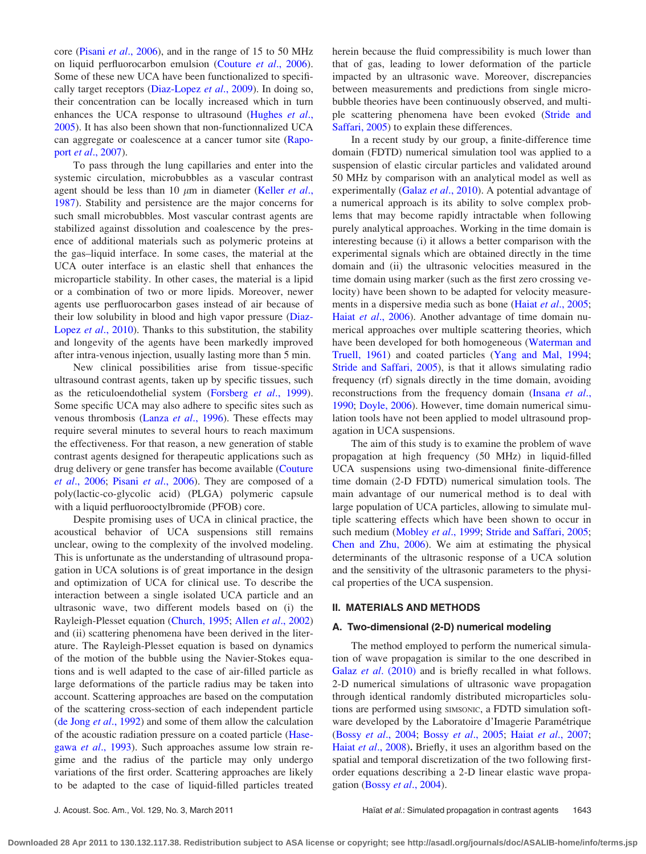core (Pisani et al[., 2006](#page-10-0)), and in the range of 15 to 50 MHz on liquid perfluorocarbon emulsion [\(Couture](#page-9-0) et al., 2006). Some of these new UCA have been functionalized to specifi-cally target receptors [\(Diaz-Lopez](#page-9-0) et al., 2009). In doing so, their concentration can be locally increased which in turn enhances the UCA response to ultrasound [\(Hughes](#page-10-0) et al., [2005\)](#page-10-0). It has also been shown that non-functionnalized UCA can aggregate or coalescence at a cancer tumor site [\(Rapo](#page-10-0)port et al[., 2007](#page-10-0)).

To pass through the lung capillaries and enter into the systemic circulation, microbubbles as a vascular contrast agent should be less than 10  $\mu$ m in diameter [\(Keller](#page-10-0) *et al.*, [1987\)](#page-10-0). Stability and persistence are the major concerns for such small microbubbles. Most vascular contrast agents are stabilized against dissolution and coalescence by the presence of additional materials such as polymeric proteins at the gas–liquid interface. In some cases, the material at the UCA outer interface is an elastic shell that enhances the microparticle stability. In other cases, the material is a lipid or a combination of two or more lipids. Moreover, newer agents use perfluorocarbon gases instead of air because of their low solubility in blood and high vapor pressure ([Diaz-](#page-9-0)Lopez et al[., 2010](#page-9-0)). Thanks to this substitution, the stability and longevity of the agents have been markedly improved after intra-venous injection, usually lasting more than 5 min.

New clinical possibilities arise from tissue-specific ultrasound contrast agents, taken up by specific tissues, such as the reticuloendothelial system ([Forsberg](#page-9-0) et al., 1999). Some specific UCA may also adhere to specific sites such as venous thrombosis (Lanza et al[., 1996\)](#page-10-0). These effects may require several minutes to several hours to reach maximum the effectiveness. For that reason, a new generation of stable contrast agents designed for therapeutic applications such as drug delivery or gene transfer has become available ([Couture](#page-9-0) et al[., 2006;](#page-9-0) Pisani et al[., 2006\)](#page-10-0). They are composed of a poly(lactic-co-glycolic acid) (PLGA) polymeric capsule with a liquid perfluorooctylbromide (PFOB) core.

Despite promising uses of UCA in clinical practice, the acoustical behavior of UCA suspensions still remains unclear, owing to the complexity of the involved modeling. This is unfortunate as the understanding of ultrasound propagation in UCA solutions is of great importance in the design and optimization of UCA for clinical use. To describe the interaction between a single isolated UCA particle and an ultrasonic wave, two different models based on (i) the Rayleigh-Plesset equation [\(Church, 1995](#page-9-0); Allen et al[., 2002\)](#page-9-0) and (ii) scattering phenomena have been derived in the literature. The Rayleigh-Plesset equation is based on dynamics of the motion of the bubble using the Navier-Stokes equations and is well adapted to the case of air-filled particle as large deformations of the particle radius may be taken into account. Scattering approaches are based on the computation of the scattering cross-section of each independent particle ([de Jong](#page-9-0) *et al.*, 1992) and some of them allow the calculation of the acoustic radiation pressure on a coated particle ([Hase](#page-10-0)gawa et al[., 1993\)](#page-10-0). Such approaches assume low strain regime and the radius of the particle may only undergo variations of the first order. Scattering approaches are likely to be adapted to the case of liquid-filled particles treated herein because the fluid compressibility is much lower than that of gas, leading to lower deformation of the particle impacted by an ultrasonic wave. Moreover, discrepancies between measurements and predictions from single microbubble theories have been continuously observed, and multiple scattering phenomena have been evoked [\(Stride and](#page-10-0) [Saffari, 2005](#page-10-0)) to explain these differences.

In a recent study by our group, a finite-difference time domain (FDTD) numerical simulation tool was applied to a suspension of elastic circular particles and validated around 50 MHz by comparison with an analytical model as well as experimentally (Galaz et al[., 2010\)](#page-9-0). A potential advantage of a numerical approach is its ability to solve complex problems that may become rapidly intractable when following purely analytical approaches. Working in the time domain is interesting because (i) it allows a better comparison with the experimental signals which are obtained directly in the time domain and (ii) the ultrasonic velocities measured in the time domain using marker (such as the first zero crossing velocity) have been shown to be adapted for velocity measure-ments in a dispersive media such as bone (Haiat et al[., 2005;](#page-10-0) Haiat et al[., 2006](#page-10-0)). Another advantage of time domain numerical approaches over multiple scattering theories, which have been developed for both homogeneous [\(Waterman and](#page-10-0) [Truell, 1961](#page-10-0)) and coated particles [\(Yang and Mal, 1994;](#page-10-0) [Stride and Saffari, 2005\)](#page-10-0), is that it allows simulating radio frequency (rf) signals directly in the time domain, avoiding reconstructions from the frequency domain ([Insana](#page-10-0) et al., [1990;](#page-10-0) [Doyle, 2006](#page-9-0)). However, time domain numerical simulation tools have not been applied to model ultrasound propagation in UCA suspensions.

The aim of this study is to examine the problem of wave propagation at high frequency (50 MHz) in liquid-filled UCA suspensions using two-dimensional finite-difference time domain (2-D FDTD) numerical simulation tools. The main advantage of our numerical method is to deal with large population of UCA particles, allowing to simulate multiple scattering effects which have been shown to occur in such medium [\(Mobley](#page-10-0) et al., 1999; [Stride and Saffari, 2005;](#page-10-0) [Chen and Zhu, 2006](#page-9-0)). We aim at estimating the physical determinants of the ultrasonic response of a UCA solution and the sensitivity of the ultrasonic parameters to the physical properties of the UCA suspension.

#### II. MATERIALS AND METHODS

### A. Two-dimensional (2-D) numerical modeling

The method employed to perform the numerical simulation of wave propagation is similar to the one described in Galaz *et al.* (2010) and is briefly recalled in what follows. 2-D numerical simulations of ultrasonic wave propagation through identical randomly distributed microparticles solutions are performed using SIMSONIC, a FDTD simulation software developed by the Laboratoire d'Imagerie Paramétrique (Bossy et al[., 2004;](#page-9-0) Bossy et al[., 2005](#page-9-0); Haiat et al[., 2007;](#page-10-0) Haiat et al[., 2008](#page-10-0)). Briefly, it uses an algorithm based on the spatial and temporal discretization of the two following firstorder equations describing a 2-D linear elastic wave propagation (Bossy et al[., 2004\)](#page-9-0).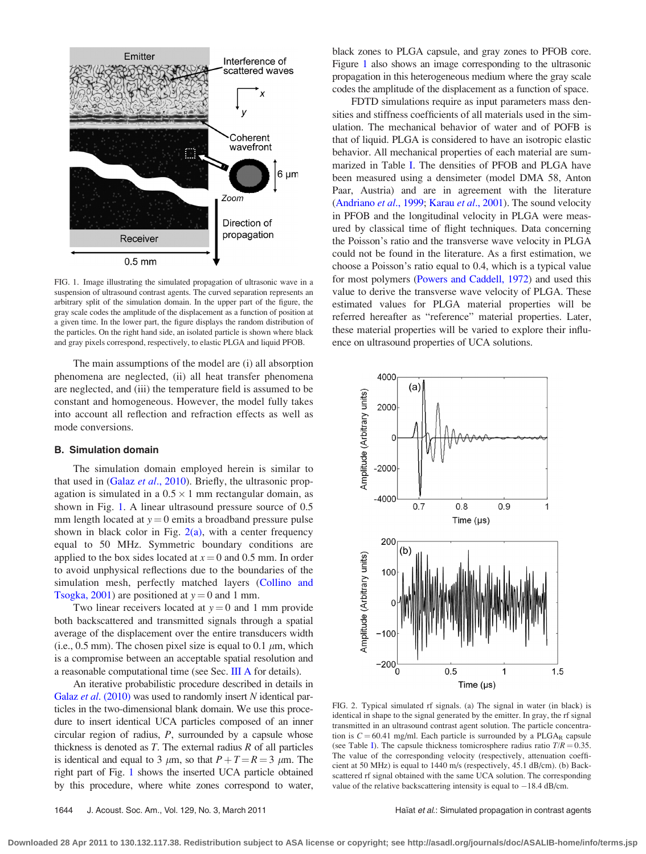<span id="page-2-0"></span>

FIG. 1. Image illustrating the simulated propagation of ultrasonic wave in a suspension of ultrasound contrast agents. The curved separation represents an arbitrary split of the simulation domain. In the upper part of the figure, the gray scale codes the amplitude of the displacement as a function of position at a given time. In the lower part, the figure displays the random distribution of the particles. On the right hand side, an isolated particle is shown where black and gray pixels correspond, respectively, to elastic PLGA and liquid PFOB.

The main assumptions of the model are (i) all absorption phenomena are neglected, (ii) all heat transfer phenomena are neglected, and (iii) the temperature field is assumed to be constant and homogeneous. However, the model fully takes into account all reflection and refraction effects as well as mode conversions.

#### B. Simulation domain

The simulation domain employed herein is similar to that used in (Galaz et al[., 2010](#page-9-0)). Briefly, the ultrasonic propagation is simulated in a  $0.5 \times 1$  mm rectangular domain, as shown in Fig. 1. A linear ultrasound pressure source of 0.5 mm length located at  $y = 0$  emits a broadband pressure pulse shown in black color in Fig.  $2(a)$ , with a center frequency equal to 50 MHz. Symmetric boundary conditions are applied to the box sides located at  $x = 0$  and 0.5 mm. In order to avoid unphysical reflections due to the boundaries of the simulation mesh, perfectly matched layers [\(Collino and](#page-9-0) [Tsogka, 2001](#page-9-0)) are positioned at  $y = 0$  and 1 mm.

Two linear receivers located at  $y = 0$  and 1 mm provide both backscattered and transmitted signals through a spatial average of the displacement over the entire transducers width (i.e., 0.5 mm). The chosen pixel size is equal to 0.1  $\mu$ m, which is a compromise between an acceptable spatial resolution and a reasonable computational time (see Sec. [III A](#page-3-0) for details).

An iterative probabilistic procedure described in details in Galaz et al[. \(2010\)](#page-9-0) was used to randomly insert N identical particles in the two-dimensional blank domain. We use this procedure to insert identical UCA particles composed of an inner circular region of radius,  $P$ , surrounded by a capsule whose thickness is denoted as  $T$ . The external radius  $R$  of all particles is identical and equal to 3  $\mu$ m, so that  $P+T=R=3 \mu$ m. The right part of Fig. 1 shows the inserted UCA particle obtained by this procedure, where white zones correspond to water, black zones to PLGA capsule, and gray zones to PFOB core. Figure 1 also shows an image corresponding to the ultrasonic propagation in this heterogeneous medium where the gray scale codes the amplitude of the displacement as a function of space.

FDTD simulations require as input parameters mass densities and stiffness coefficients of all materials used in the simulation. The mechanical behavior of water and of POFB is that of liquid. PLGA is considered to have an isotropic elastic behavior. All mechanical properties of each material are summarized in Table [I](#page-3-0). The densities of PFOB and PLGA have been measured using a densimeter (model DMA 58, Anton Paar, Austria) and are in agreement with the literature [\(Andriano](#page-9-0) et al., 1999; Karau et al[., 2001](#page-10-0)). The sound velocity in PFOB and the longitudinal velocity in PLGA were measured by classical time of flight techniques. Data concerning the Poisson's ratio and the transverse wave velocity in PLGA could not be found in the literature. As a first estimation, we choose a Poisson's ratio equal to 0.4, which is a typical value for most polymers [\(Powers and Caddell, 1972\)](#page-10-0) and used this value to derive the transverse wave velocity of PLGA. These estimated values for PLGA material properties will be referred hereafter as "reference" material properties. Later, these material properties will be varied to explore their influence on ultrasound properties of UCA solutions.



FIG. 2. Typical simulated rf signals. (a) The signal in water (in black) is identical in shape to the signal generated by the emitter. In gray, the rf signal transmitted in an ultrasound contrast agent solution. The particle concentration is  $C = 60.41$  mg/ml. Each particle is surrounded by a PLGA<sub>R</sub> capsule (see Table [I](#page-3-0)). The capsule thickness tomicrosphere radius ratio  $T/R = 0.35$ . The value of the corresponding velocity (respectively, attenuation coefficient at 50 MHz) is equal to 1440 m/s (respectively, 45.1 dB/cm). (b) Backscattered rf signal obtained with the same UCA solution. The corresponding value of the relative backscattering intensity is equal to  $-18.4$  dB/cm.

**Downloaded 28 Apr 2011 to 130.132.117.38. Redistribution subject to ASA license or copyright; see http://asadl.org/journals/doc/ASALIB-home/info/terms.jsp**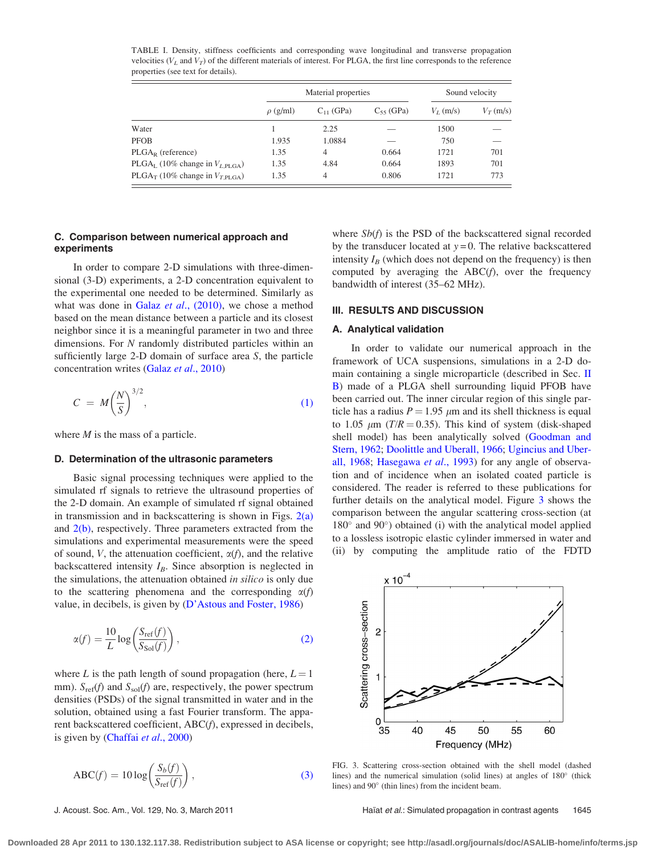|                                                        |               | Material properties | Sound velocity |             |             |
|--------------------------------------------------------|---------------|---------------------|----------------|-------------|-------------|
|                                                        | $\rho$ (g/ml) | $C_{11}$ (GPa)      | $C_{55}$ (GPa) | $V_L$ (m/s) | $V_T$ (m/s) |
| Water                                                  |               | 2.25                |                | 1500        |             |
| <b>PFOB</b>                                            | 1.935         | 1.0884              |                | 750         |             |
| $PLGA_R$ (reference)                                   | 1.35          | 4                   | 0.664          | 1721        | 701         |
| PLGA <sub>L</sub> (10% change in $V_{L,\text{PLGA}}$ ) | 1.35          | 4.84                | 0.664          | 1893        | 701         |
| PLGA <sub>T</sub> (10% change in $V_{T\text{PI.GA}}$ ) | 1.35          | 4                   | 0.806          | 1721        | 773         |

<span id="page-3-0"></span>TABLE I. Density, stiffness coefficients and corresponding wave longitudinal and transverse propagation velocities ( $V_L$  and  $V_T$ ) of the different materials of interest. For PLGA, the first line corresponds to the reference properties (see text for details).

# C. Comparison between numerical approach and experiments

In order to compare 2-D simulations with three-dimensional (3-D) experiments, a 2-D concentration equivalent to the experimental one needed to be determined. Similarly as what was done in Galaz et al.,  $(2010)$ , we chose a method based on the mean distance between a particle and its closest neighbor since it is a meaningful parameter in two and three dimensions. For N randomly distributed particles within an sufficiently large 2-D domain of surface area S, the particle concentration writes (Galaz et al[., 2010](#page-9-0))

$$
C = M \left(\frac{N}{S}\right)^{3/2},\tag{1}
$$

where  $M$  is the mass of a particle.

#### D. Determination of the ultrasonic parameters

Basic signal processing techniques were applied to the simulated rf signals to retrieve the ultrasound properties of the 2-D domain. An example of simulated rf signal obtained in transmission and in backscattering is shown in Figs.  $2(a)$ and  $2(b)$ , respectively. Three parameters extracted from the simulations and experimental measurements were the speed of sound, V, the attenuation coefficient,  $\alpha(f)$ , and the relative backscattered intensity  $I_B$ . Since absorption is neglected in the simulations, the attenuation obtained in silico is only due to the scattering phenomena and the corresponding  $\alpha(f)$ value, in decibels, is given by [\(D'Astous and Foster, 1986](#page-9-0))

$$
\alpha(f) = \frac{10}{L} \log \left( \frac{S_{\text{ref}}(f)}{S_{\text{Sol}}(f)} \right),\tag{2}
$$

where L is the path length of sound propagation (here,  $L = 1$ ) mm).  $S_{ref}(f)$  and  $S_{sol}(f)$  are, respectively, the power spectrum densities (PSDs) of the signal transmitted in water and in the solution, obtained using a fast Fourier transform. The apparent backscattered coefficient, ABC(f), expressed in decibels, is given by [\(Chaffai](#page-9-0) et al., 2000)

$$
ABC(f) = 10 \log \left( \frac{S_b(f)}{S_{\text{ref}}(f)} \right),\tag{3}
$$

where  $Sb(f)$  is the PSD of the backscattered signal recorded by the transducer located at  $y = 0$ . The relative backscattered intensity  $I_B$  (which does not depend on the frequency) is then computed by averaging the  $ABC(f)$ , over the frequency bandwidth of interest (35–62 MHz).

#### III. RESULTS AND DISCUSSION

#### A. Analytical validation

In order to validate our numerical approach in the framework of UCA suspensions, simulations in a 2-D domain containing a single microparticle (described in Sec. [II](#page-2-0) [B\)](#page-2-0) made of a PLGA shell surrounding liquid PFOB have been carried out. The inner circular region of this single particle has a radius  $P = 1.95 \mu m$  and its shell thickness is equal to 1.05  $\mu$ m (T/R = 0.35). This kind of system (disk-shaped shell model) has been analytically solved [\(Goodman and](#page-10-0) [Stern, 1962](#page-10-0); [Doolittle and Uberall, 1966](#page-9-0); [Ugincius and Uber](#page-10-0)[all, 1968](#page-10-0); [Hasegawa](#page-10-0) et al., 1993) for any angle of observation and of incidence when an isolated coated particle is considered. The reader is referred to these publications for further details on the analytical model. Figure 3 shows the comparison between the angular scattering cross-section (at  $180^{\circ}$  and  $90^{\circ}$ ) obtained (i) with the analytical model applied to a lossless isotropic elastic cylinder immersed in water and (ii) by computing the amplitude ratio of the FDTD



FIG. 3. Scattering cross-section obtained with the shell model (dashed lines) and the numerical simulation (solid lines) at angles of  $180^\circ$  (thick lines) and  $90^\circ$  (thin lines) from the incident beam.

J. Acoust. Soc. Am., Vol. 129, No. 3, March 2011 Haliat et al.: Simulated propagation in contrast agents 1645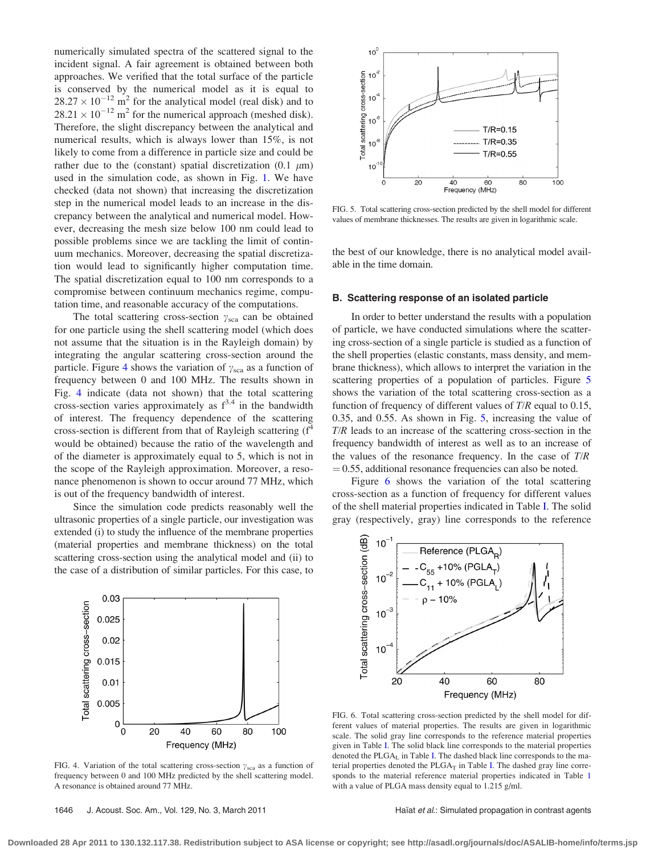<span id="page-4-0"></span>numerically simulated spectra of the scattered signal to the incident signal. A fair agreement is obtained between both approaches. We verified that the total surface of the particle is conserved by the numerical model as it is equal to  $28.27 \times 10^{-12}$  m<sup>2</sup> for the analytical model (real disk) and to  $28.21 \times 10^{-12}$  m<sup>2</sup> for the numerical approach (meshed disk). Therefore, the slight discrepancy between the analytical and numerical results, which is always lower than 15%, is not likely to come from a difference in particle size and could be rather due to the (constant) spatial discretization (0.1  $\mu$ m) used in the simulation code, as shown in Fig. [1](#page-2-0). We have checked (data not shown) that increasing the discretization step in the numerical model leads to an increase in the discrepancy between the analytical and numerical model. However, decreasing the mesh size below 100 nm could lead to possible problems since we are tackling the limit of continuum mechanics. Moreover, decreasing the spatial discretization would lead to significantly higher computation time. The spatial discretization equal to 100 nm corresponds to a compromise between continuum mechanics regime, computation time, and reasonable accuracy of the computations.

The total scattering cross-section  $\gamma_{\text{sca}}$  can be obtained for one particle using the shell scattering model (which does not assume that the situation is in the Rayleigh domain) by integrating the angular scattering cross-section around the particle. Figure 4 shows the variation of  $\gamma_{\rm sca}$  as a function of frequency between 0 and 100 MHz. The results shown in Fig. 4 indicate (data not shown) that the total scattering cross-section varies approximately as  $f^{3.4}$  in the bandwidth of interest. The frequency dependence of the scattering cross-section is different from that of Rayleigh scattering  $(f<sup>4</sup>)$ would be obtained) because the ratio of the wavelength and of the diameter is approximately equal to 5, which is not in the scope of the Rayleigh approximation. Moreover, a resonance phenomenon is shown to occur around 77 MHz, which is out of the frequency bandwidth of interest.

Since the simulation code predicts reasonably well the ultrasonic properties of a single particle, our investigation was extended (i) to study the influence of the membrane properties (material properties and membrane thickness) on the total scattering cross-section using the analytical model and (ii) to the case of a distribution of similar particles. For this case, to

 $0.03$ 



FIG. 4. Variation of the total scattering cross-section  $\gamma_{\rm sca}$  as a function of frequency between 0 and 100 MHz predicted by the shell scattering model. A resonance is obtained around 77 MHz.



FIG. 5. Total scattering cross-section predicted by the shell model for different values of membrane thicknesses. The results are given in logarithmic scale.

the best of our knowledge, there is no analytical model available in the time domain.

#### B. Scattering response of an isolated particle

In order to better understand the results with a population of particle, we have conducted simulations where the scattering cross-section of a single particle is studied as a function of the shell properties (elastic constants, mass density, and membrane thickness), which allows to interpret the variation in the scattering properties of a population of particles. Figure 5 shows the variation of the total scattering cross-section as a function of frequency of different values of T/R equal to 0.15, 0.35, and 0.55. As shown in Fig. 5, increasing the value of T/R leads to an increase of the scattering cross-section in the frequency bandwidth of interest as well as to an increase of the values of the resonance frequency. In the case of  $T/R$  $\mu = 0.55$ , additional resonance frequencies can also be noted.

Figure 6 shows the variation of the total scattering cross-section as a function of frequency for different values of the shell material properties indicated in Table [I](#page-3-0). The solid gray (respectively, gray) line corresponds to the reference



FIG. 6. Total scattering cross-section predicted by the shell model for different values of material properties. The results are given in logarithmic scale. The solid gray line corresponds to the reference material properties given in Table [I](#page-3-0). The solid black line corresponds to the material properties denoted the  $PLGA<sub>L</sub>$  in Table [I.](#page-3-0) The dashed black line corresponds to the material properties denoted the  $PLGA_T$  in Table [I.](#page-3-0) The dashed gray line corresponds to the material reference material properties indicated in Table [1](#page-3-0) with a value of PLGA mass density equal to 1.215 g/ml.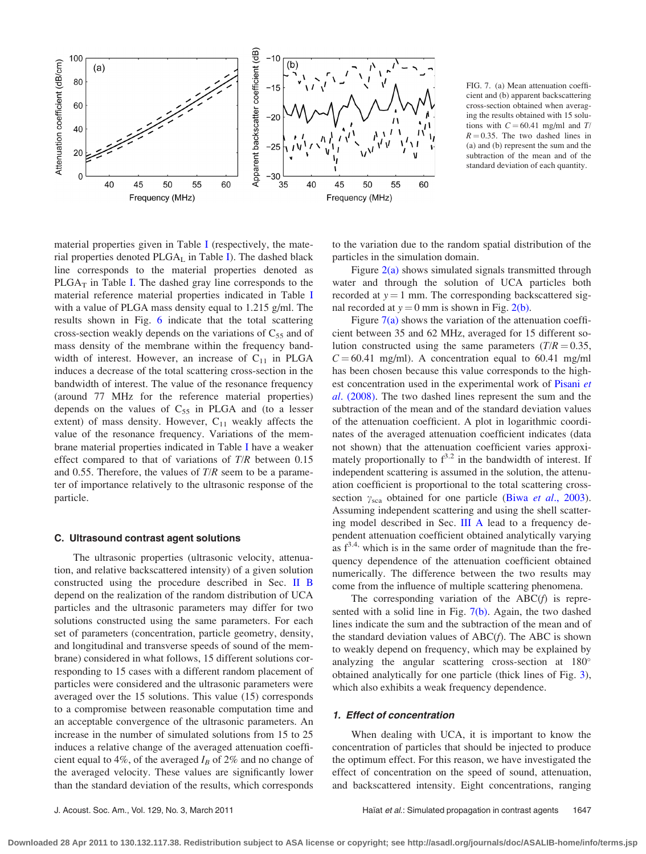

FIG. 7. (a) Mean attenuation coefficient and (b) apparent backscattering cross-section obtained when averaging the results obtained with 15 solutions with  $C = 60.41$  mg/ml and T/  $R = 0.35$ . The two dashed lines in (a) and (b) represent the sum and the subtraction of the mean and of the standard deviation of each quantity.

material properties given in Table [I](#page-3-0) (respectively, the material properties denoted  $PLGA<sub>L</sub>$  in Table [I\)](#page-3-0). The dashed black line corresponds to the material properties denoted as  $PLGA<sub>T</sub>$  in Table [I](#page-3-0). The dashed gray line corresponds to the material reference material properties indicated in Table [I](#page-3-0) with a value of PLGA mass density equal to 1.215 g/ml. The results shown in Fig. [6](#page-4-0) indicate that the total scattering cross-section weakly depends on the variations of  $C_{55}$  and of mass density of the membrane within the frequency bandwidth of interest. However, an increase of  $C_{11}$  in PLGA induces a decrease of the total scattering cross-section in the bandwidth of interest. The value of the resonance frequency (around 77 MHz for the reference material properties) depends on the values of  $C_{55}$  in PLGA and (to a lesser extent) of mass density. However,  $C_{11}$  weakly affects the value of the resonance frequency. Variations of the membrane material properties indicated in Table [I](#page-3-0) have a weaker effect compared to that of variations of  $T/R$  between 0.15 and 0.55. Therefore, the values of  $T/R$  seem to be a parameter of importance relatively to the ultrasonic response of the particle.

# C. Ultrasound contrast agent solutions

The ultrasonic properties (ultrasonic velocity, attenuation, and relative backscattered intensity) of a given solution constructed using the procedure described in Sec. [II B](#page-2-0) depend on the realization of the random distribution of UCA particles and the ultrasonic parameters may differ for two solutions constructed using the same parameters. For each set of parameters (concentration, particle geometry, density, and longitudinal and transverse speeds of sound of the membrane) considered in what follows, 15 different solutions corresponding to 15 cases with a different random placement of particles were considered and the ultrasonic parameters were averaged over the 15 solutions. This value (15) corresponds to a compromise between reasonable computation time and an acceptable convergence of the ultrasonic parameters. An increase in the number of simulated solutions from 15 to 25 induces a relative change of the averaged attenuation coefficient equal to 4%, of the averaged  $I_B$  of 2% and no change of the averaged velocity. These values are significantly lower than the standard deviation of the results, which corresponds to the variation due to the random spatial distribution of the particles in the simulation domain.

Figure  $2(a)$  shows simulated signals transmitted through water and through the solution of UCA particles both recorded at  $y = 1$  mm. The corresponding backscattered signal recorded at  $y = 0$  mm is shown in Fig. [2\(b\).](#page-2-0)

Figure  $7(a)$  shows the variation of the attenuation coefficient between 35 and 62 MHz, averaged for 15 different solution constructed using the same parameters  $(T/R = 0.35$ ,  $C = 60.41$  mg/ml). A concentration equal to 60.41 mg/ml has been chosen because this value corresponds to the high-est concentration used in the experimental work of [Pisani](#page-10-0) et al[. \(2008\).](#page-10-0) The two dashed lines represent the sum and the subtraction of the mean and of the standard deviation values of the attenuation coefficient. A plot in logarithmic coordinates of the averaged attenuation coefficient indicates (data not shown) that the attenuation coefficient varies approximately proportionally to  $f^{3.2}$  in the bandwidth of interest. If independent scattering is assumed in the solution, the attenuation coefficient is proportional to the total scattering crosssection  $\gamma_{\text{sca}}$  obtained for one particle (Biwa et al[., 2003\)](#page-9-0). Assuming independent scattering and using the shell scattering model described in Sec. [III A](#page-3-0) lead to a frequency dependent attenuation coefficient obtained analytically varying as  $f^{3,4}$ , which is in the same order of magnitude than the frequency dependence of the attenuation coefficient obtained numerically. The difference between the two results may come from the influence of multiple scattering phenomena.

The corresponding variation of the  $ABC(f)$  is represented with a solid line in Fig. 7(b). Again, the two dashed lines indicate the sum and the subtraction of the mean and of the standard deviation values of  $ABC(f)$ . The ABC is shown to weakly depend on frequency, which may be explained by analyzing the angular scattering cross-section at 180 obtained analytically for one particle (thick lines of Fig. [3\)](#page-3-0), which also exhibits a weak frequency dependence.

#### 1. Effect of concentration

When dealing with UCA, it is important to know the concentration of particles that should be injected to produce the optimum effect. For this reason, we have investigated the effect of concentration on the speed of sound, attenuation, and backscattered intensity. Eight concentrations, ranging

**Downloaded 28 Apr 2011 to 130.132.117.38. Redistribution subject to ASA license or copyright; see http://asadl.org/journals/doc/ASALIB-home/info/terms.jsp**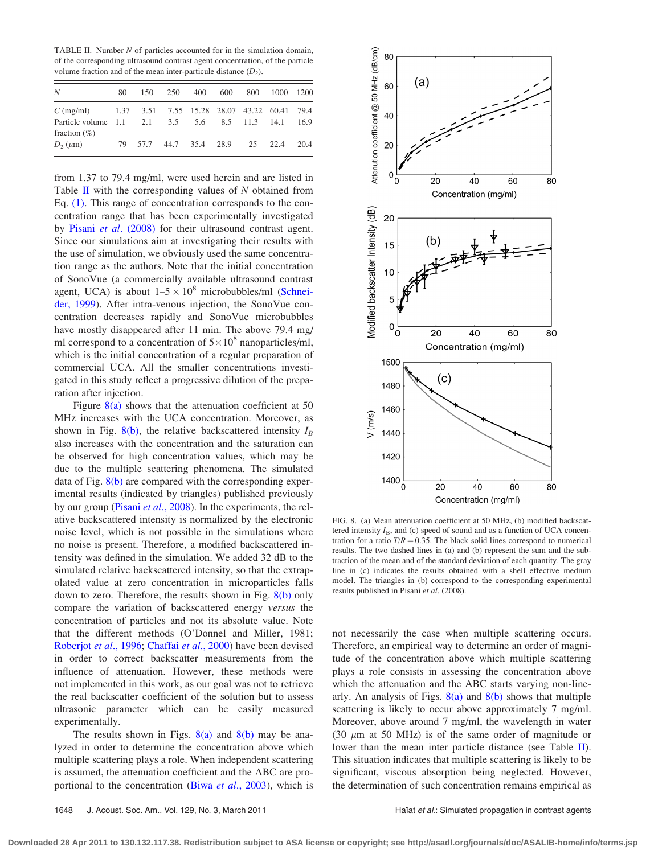<span id="page-6-0"></span>TABLE II. Number N of particles accounted for in the simulation domain, of the corresponding ultrasound contrast agent concentration, of the particle volume fraction and of the mean inter-particule distance  $(D_2)$ .

| N                                                                     | 80 | 150 | 250                                 | 400 600 | 800 1000 1200 |  |
|-----------------------------------------------------------------------|----|-----|-------------------------------------|---------|---------------|--|
| $C \text{ (mg/ml)}$ 1.37 3.51 7.55 15.28 28.07 43.22 60.41 79.4       |    |     |                                     |         |               |  |
| Particle volume 1.1 2.1 3.5 5.6 8.5 11.3 14.1 16.9<br>fraction $(\%)$ |    |     |                                     |         |               |  |
| $D_2(\mu m)$                                                          |    |     | 79 57.7 44.7 35.4 28.9 25 22.4 20.4 |         |               |  |

from 1.37 to 79.4 mg/ml, were used herein and are listed in Table  $II$  with the corresponding values of  $N$  obtained from Eq. [\(1\).](#page-3-0) This range of concentration corresponds to the concentration range that has been experimentally investigated by Pisani et al[. \(2008\)](#page-10-0) for their ultrasound contrast agent. Since our simulations aim at investigating their results with the use of simulation, we obviously used the same concentration range as the authors. Note that the initial concentration of SonoVue (a commercially available ultrasound contrast agent, UCA) is about  $1-5 \times 10^8$  microbubbles/ml [\(Schnei](#page-10-0)[der, 1999\)](#page-10-0). After intra-venous injection, the SonoVue concentration decreases rapidly and SonoVue microbubbles have mostly disappeared after 11 min. The above 79.4 mg/ ml correspond to a concentration of  $5 \times 10^8$  nanoparticles/ml, which is the initial concentration of a regular preparation of commercial UCA. All the smaller concentrations investigated in this study reflect a progressive dilution of the preparation after injection.

Figure  $8(a)$  shows that the attenuation coefficient at 50 MHz increases with the UCA concentration. Moreover, as shown in Fig. 8(b), the relative backscattered intensity  $I_B$ also increases with the concentration and the saturation can be observed for high concentration values, which may be due to the multiple scattering phenomena. The simulated data of Fig. 8(b) are compared with the corresponding experimental results (indicated by triangles) published previously by our group (Pisani et al[., 2008\)](#page-10-0). In the experiments, the relative backscattered intensity is normalized by the electronic noise level, which is not possible in the simulations where no noise is present. Therefore, a modified backscattered intensity was defined in the simulation. We added 32 dB to the simulated relative backscattered intensity, so that the extrapolated value at zero concentration in microparticles falls down to zero. Therefore, the results shown in Fig. 8(b) only compare the variation of backscattered energy versus the concentration of particles and not its absolute value. Note that the different methods (O'Donnel and Miller, 1981; [Roberjot](#page-10-0) et al., 1996; [Chaffai](#page-9-0) et al., 2000) have been devised in order to correct backscatter measurements from the influence of attenuation. However, these methods were not implemented in this work, as our goal was not to retrieve the real backscatter coefficient of the solution but to assess ultrasonic parameter which can be easily measured experimentally.

The results shown in Figs.  $8(a)$  and  $8(b)$  may be analyzed in order to determine the concentration above which multiple scattering plays a role. When independent scattering is assumed, the attenuation coefficient and the ABC are pro-portional to the concentration (Biwa et al[., 2003\)](#page-9-0), which is



FIG. 8. (a) Mean attenuation coefficient at 50 MHz, (b) modified backscattered intensity  $I_B$ , and (c) speed of sound and as a function of UCA concentration for a ratio  $T/R = 0.35$ . The black solid lines correspond to numerical results. The two dashed lines in (a) and (b) represent the sum and the subtraction of the mean and of the standard deviation of each quantity. The gray line in (c) indicates the results obtained with a shell effective medium model. The triangles in (b) correspond to the corresponding experimental results published in Pisani et al. (2008).

not necessarily the case when multiple scattering occurs. Therefore, an empirical way to determine an order of magnitude of the concentration above which multiple scattering plays a role consists in assessing the concentration above which the attenuation and the ABC starts varying non-linearly. An analysis of Figs.  $8(a)$  and  $8(b)$  shows that multiple scattering is likely to occur above approximately 7 mg/ml. Moreover, above around 7 mg/ml, the wavelength in water (30  $\mu$ m at 50 MHz) is of the same order of magnitude or lower than the mean inter particle distance (see Table II). This situation indicates that multiple scattering is likely to be significant, viscous absorption being neglected. However, the determination of such concentration remains empirical as

**Downloaded 28 Apr 2011 to 130.132.117.38. Redistribution subject to ASA license or copyright; see http://asadl.org/journals/doc/ASALIB-home/info/terms.jsp**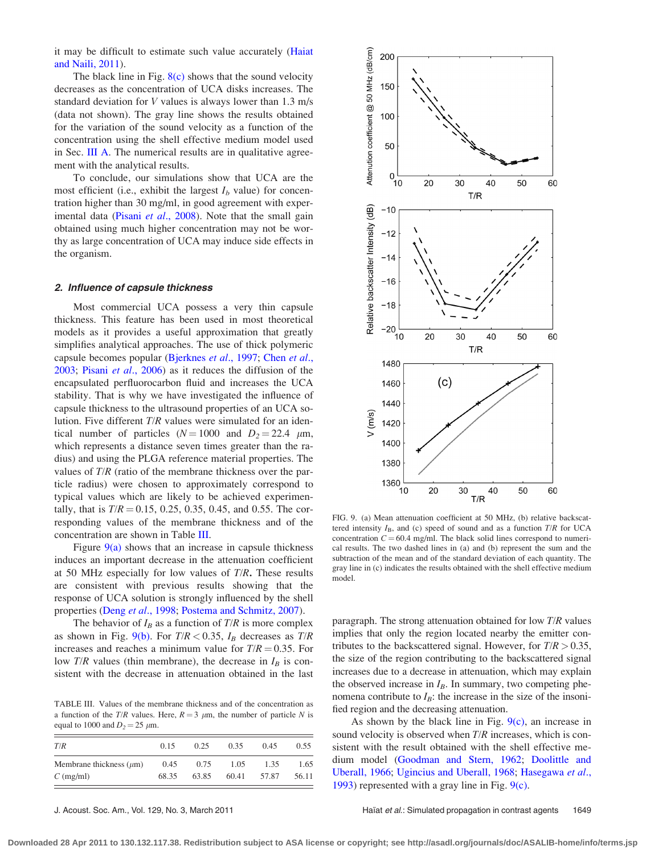it may be difficult to estimate such value accurately [\(Haiat](#page-10-0) [and Naili, 2011\)](#page-10-0).

The black line in Fig.  $8(c)$  shows that the sound velocity decreases as the concentration of UCA disks increases. The standard deviation for V values is always lower than 1.3 m/s (data not shown). The gray line shows the results obtained for the variation of the sound velocity as a function of the concentration using the shell effective medium model used in Sec. [III A.](#page-3-0) The numerical results are in qualitative agreement with the analytical results.

To conclude, our simulations show that UCA are the most efficient (i.e., exhibit the largest  $I<sub>b</sub>$  value) for concentration higher than 30 mg/ml, in good agreement with experimental data (Pisani *et al.*, 2008). Note that the small gain obtained using much higher concentration may not be worthy as large concentration of UCA may induce side effects in the organism.

#### 2. Influence of capsule thickness

Most commercial UCA possess a very thin capsule thickness. This feature has been used in most theoretical models as it provides a useful approximation that greatly simplifies analytical approaches. The use of thick polymeric capsule becomes popular ([Bjerknes](#page-9-0) *et al.*, 1997; [Chen](#page-9-0) *et al.*, [2003;](#page-9-0) Pisani et al[., 2006\)](#page-10-0) as it reduces the diffusion of the encapsulated perfluorocarbon fluid and increases the UCA stability. That is why we have investigated the influence of capsule thickness to the ultrasound properties of an UCA solution. Five different T/R values were simulated for an identical number of particles ( $N = 1000$  and  $D_2 = 22.4 \mu m$ , which represents a distance seven times greater than the radius) and using the PLGA reference material properties. The values of T/R (ratio of the membrane thickness over the particle radius) were chosen to approximately correspond to typical values which are likely to be achieved experimentally, that is  $T/R = 0.15, 0.25, 0.35, 0.45,$  and 0.55. The corresponding values of the membrane thickness and of the concentration are shown in Table III.

Figure  $9(a)$  shows that an increase in capsule thickness induces an important decrease in the attenuation coefficient at 50 MHz especially for low values of  $T/R$ . These results are consistent with previous results showing that the response of UCA solution is strongly influenced by the shell properties (Deng et al[., 1998;](#page-9-0) [Postema and Schmitz, 2007\)](#page-10-0).

The behavior of  $I_B$  as a function of  $T/R$  is more complex as shown in Fig. 9(b). For  $T/R < 0.35$ ,  $I_B$  decreases as  $T/R$ increases and reaches a minimum value for  $T/R = 0.35$ . For low  $T/R$  values (thin membrane), the decrease in  $I_B$  is consistent with the decrease in attenuation obtained in the last

TABLE III. Values of the membrane thickness and of the concentration as a function of the T/R values. Here,  $R = 3 \mu m$ , the number of particle N is equal to 1000 and  $D_2 = 25 \mu m$ .

| T/R                          | 0.15  | 0.25  | 0.35  | 0.45  | 0.55  |
|------------------------------|-------|-------|-------|-------|-------|
| Membrane thickness $(\mu m)$ | 0.45  | 0.75  | 1.05  | 1.35  | 1.65  |
| $C \text{ (mg/ml)}$          | 68.35 | 63.85 | 60.41 | 57.87 | 56.11 |



FIG. 9. (a) Mean attenuation coefficient at 50 MHz, (b) relative backscattered intensity  $I_B$ , and (c) speed of sound and as a function  $T/R$  for UCA concentration  $C = 60.4$  mg/ml. The black solid lines correspond to numerical results. The two dashed lines in (a) and (b) represent the sum and the subtraction of the mean and of the standard deviation of each quantity. The gray line in (c) indicates the results obtained with the shell effective medium model.

paragraph. The strong attenuation obtained for low  $T/R$  values implies that only the region located nearby the emitter contributes to the backscattered signal. However, for  $T/R > 0.35$ , the size of the region contributing to the backscattered signal increases due to a decrease in attenuation, which may explain the observed increase in  $I_B$ . In summary, two competing phenomena contribute to  $I_B$ : the increase in the size of the insonified region and the decreasing attenuation.

As shown by the black line in Fig.  $9(c)$ , an increase in sound velocity is observed when  $T/R$  increases, which is consistent with the result obtained with the shell effective medium model [\(Goodman and Stern, 1962](#page-10-0); [Doolittle and](#page-9-0) [Uberall, 1966](#page-9-0); [Ugincius and Uberall, 1968;](#page-10-0) [Hasegawa](#page-10-0) et al., [1993\)](#page-10-0) represented with a gray line in Fig. 9(c).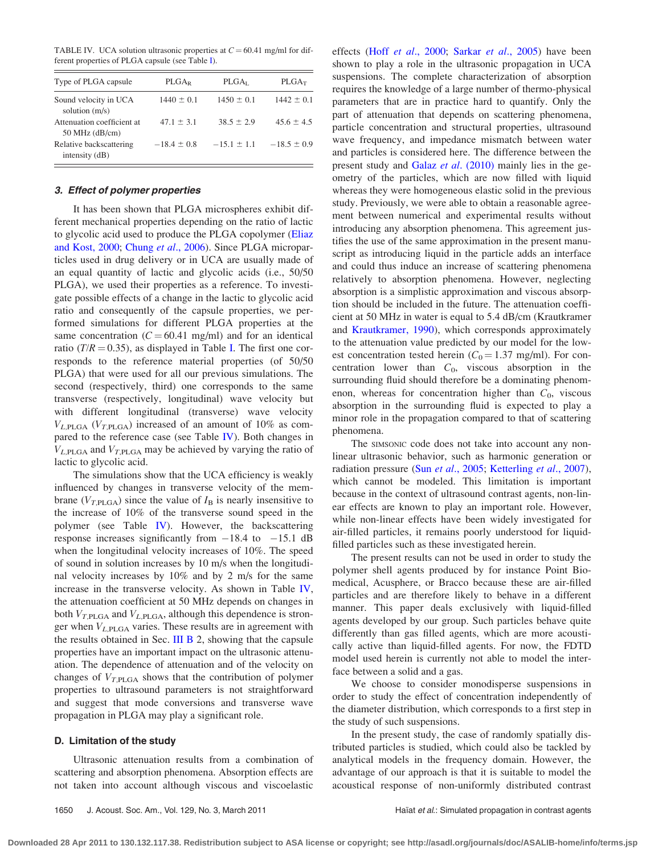TABLE IV. UCA solution ultrasonic properties at  $C = 60.41$  mg/ml for different properties of PLGA capsule (see Table [I](#page-3-0)).

| Type of PLGA capsule                           | $PLGA_R$        | PLGA <sub>L</sub> | $PLGA_T$        |
|------------------------------------------------|-----------------|-------------------|-----------------|
| Sound velocity in UCA<br>solution $(m/s)$      | $1440 \pm 0.1$  | $1450 \pm 0.1$    | $1442 \pm 0.1$  |
| Attenuation coefficient at<br>$50$ MHz (dB/cm) | $47.1 \pm 3.1$  | $38.5 \pm 2.9$    | $45.6 \pm 4.5$  |
| Relative backscattering<br>intensity $(dB)$    | $-18.4 \pm 0.8$ | $-15.1 \pm 1.1$   | $-18.5 \pm 0.9$ |

# 3. Effect of polymer properties

It has been shown that PLGA microspheres exhibit different mechanical properties depending on the ratio of lactic to glycolic acid used to produce the PLGA copolymer [\(Eliaz](#page-9-0) [and Kost, 2000](#page-9-0); Chung et al[., 2006](#page-9-0)). Since PLGA microparticles used in drug delivery or in UCA are usually made of an equal quantity of lactic and glycolic acids (i.e., 50/50 PLGA), we used their properties as a reference. To investigate possible effects of a change in the lactic to glycolic acid ratio and consequently of the capsule properties, we performed simulations for different PLGA properties at the same concentration ( $C = 60.41$  mg/ml) and for an identical ratio ( $T/R = 0.35$ ), as displayed in Table [I.](#page-3-0) The first one corresponds to the reference material properties (of 50/50 PLGA) that were used for all our previous simulations. The second (respectively, third) one corresponds to the same transverse (respectively, longitudinal) wave velocity but with different longitudinal (transverse) wave velocity  $V_{L,PLGA}$  ( $V_{T,PLGA}$ ) increased of an amount of 10% as compared to the reference case (see Table IV). Both changes in  $V_{L,PLGA}$  and  $V_{T,PLGA}$  may be achieved by varying the ratio of lactic to glycolic acid.

The simulations show that the UCA efficiency is weakly influenced by changes in transverse velocity of the membrane ( $V_{T,PLGA}$ ) since the value of  $I_B$  is nearly insensitive to the increase of 10% of the transverse sound speed in the polymer (see Table IV). However, the backscattering response increases significantly from  $-18.4$  to  $-15.1$  dB when the longitudinal velocity increases of 10%. The speed of sound in solution increases by 10 m/s when the longitudinal velocity increases by 10% and by 2 m/s for the same increase in the transverse velocity. As shown in Table IV, the attenuation coefficient at 50 MHz depends on changes in both  $V_{T,PLGA}$  and  $V_{L,PLGA}$ , although this dependence is stronger when  $V_{L,PLGA}$  varies. These results are in agreement with the results obtained in Sec. III  $\overline{B}$  2, showing that the capsule properties have an important impact on the ultrasonic attenuation. The dependence of attenuation and of the velocity on changes of  $V_{T,PLGA}$  shows that the contribution of polymer properties to ultrasound parameters is not straightforward and suggest that mode conversions and transverse wave propagation in PLGA may play a significant role.

#### D. Limitation of the study

Ultrasonic attenuation results from a combination of scattering and absorption phenomena. Absorption effects are not taken into account although viscous and viscoelastic effects (Hoff et al[., 2000;](#page-10-0) Sarkar et al[., 2005](#page-10-0)) have been shown to play a role in the ultrasonic propagation in UCA suspensions. The complete characterization of absorption requires the knowledge of a large number of thermo-physical parameters that are in practice hard to quantify. Only the part of attenuation that depends on scattering phenomena, particle concentration and structural properties, ultrasound wave frequency, and impedance mismatch between water and particles is considered here. The difference between the present study and Galaz et al[. \(2010\)](#page-9-0) mainly lies in the geometry of the particles, which are now filled with liquid whereas they were homogeneous elastic solid in the previous study. Previously, we were able to obtain a reasonable agreement between numerical and experimental results without introducing any absorption phenomena. This agreement justifies the use of the same approximation in the present manuscript as introducing liquid in the particle adds an interface and could thus induce an increase of scattering phenomena relatively to absorption phenomena. However, neglecting absorption is a simplistic approximation and viscous absorption should be included in the future. The attenuation coefficient at 50 MHz in water is equal to 5.4 dB/cm (Krautkramer and [Krautkramer, 1990](#page-10-0)), which corresponds approximately to the attenuation value predicted by our model for the lowest concentration tested herein ( $C_0$  = 1.37 mg/ml). For concentration lower than  $C_0$ , viscous absorption in the surrounding fluid should therefore be a dominating phenomenon, whereas for concentration higher than  $C_0$ , viscous absorption in the surrounding fluid is expected to play a minor role in the propagation compared to that of scattering phenomena.

The SIMSONIC code does not take into account any nonlinear ultrasonic behavior, such as harmonic generation or radiation pressure (Sun et al[., 2005;](#page-10-0) [Ketterling](#page-10-0) et al., 2007), which cannot be modeled. This limitation is important because in the context of ultrasound contrast agents, non-linear effects are known to play an important role. However, while non-linear effects have been widely investigated for air-filled particles, it remains poorly understood for liquidfilled particles such as these investigated herein.

The present results can not be used in order to study the polymer shell agents produced by for instance Point Biomedical, Acusphere, or Bracco because these are air-filled particles and are therefore likely to behave in a different manner. This paper deals exclusively with liquid-filled agents developed by our group. Such particles behave quite differently than gas filled agents, which are more acoustically active than liquid-filled agents. For now, the FDTD model used herein is currently not able to model the interface between a solid and a gas.

We choose to consider monodisperse suspensions in order to study the effect of concentration independently of the diameter distribution, which corresponds to a first step in the study of such suspensions.

In the present study, the case of randomly spatially distributed particles is studied, which could also be tackled by analytical models in the frequency domain. However, the advantage of our approach is that it is suitable to model the acoustical response of non-uniformly distributed contrast

**Downloaded 28 Apr 2011 to 130.132.117.38. Redistribution subject to ASA license or copyright; see http://asadl.org/journals/doc/ASALIB-home/info/terms.jsp**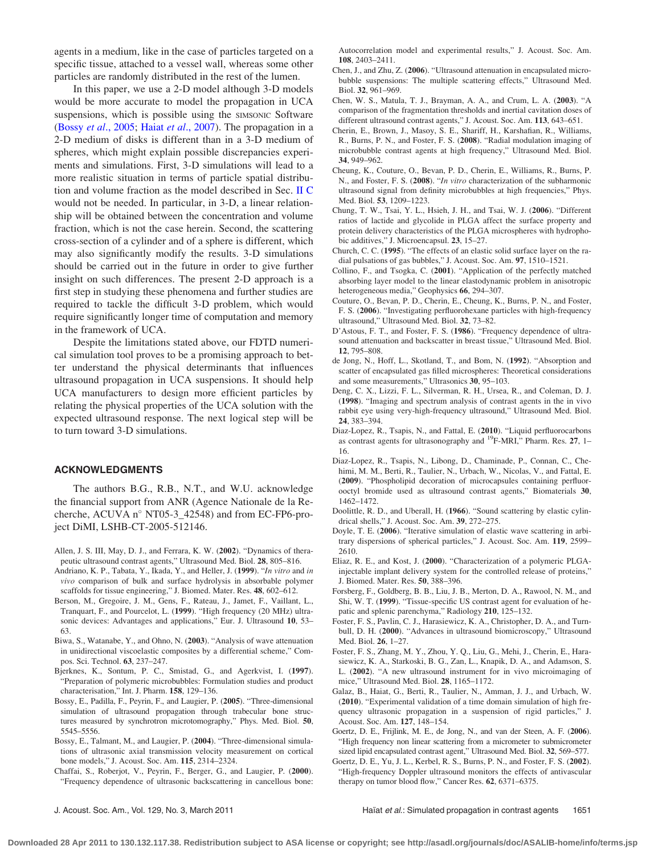<span id="page-9-0"></span>agents in a medium, like in the case of particles targeted on a specific tissue, attached to a vessel wall, whereas some other particles are randomly distributed in the rest of the lumen.

In this paper, we use a 2-D model although 3-D models would be more accurate to model the propagation in UCA suspensions, which is possible using the SIMSONIC Software (Bossy et al., 2005; Haiat et al[., 2007\)](#page-10-0). The propagation in a 2-D medium of disks is different than in a 3-D medium of spheres, which might explain possible discrepancies experiments and simulations. First, 3-D simulations will lead to a more realistic situation in terms of particle spatial distribution and volume fraction as the model described in Sec. [II C](#page-3-0) would not be needed. In particular, in 3-D, a linear relationship will be obtained between the concentration and volume fraction, which is not the case herein. Second, the scattering cross-section of a cylinder and of a sphere is different, which may also significantly modify the results. 3-D simulations should be carried out in the future in order to give further insight on such differences. The present 2-D approach is a first step in studying these phenomena and further studies are required to tackle the difficult 3-D problem, which would require significantly longer time of computation and memory in the framework of UCA.

Despite the limitations stated above, our FDTD numerical simulation tool proves to be a promising approach to better understand the physical determinants that influences ultrasound propagation in UCA suspensions. It should help UCA manufacturers to design more efficient particles by relating the physical properties of the UCA solution with the expected ultrasound response. The next logical step will be to turn toward 3-D simulations.

# ACKNOWLEDGMENTS

The authors B.G., R.B., N.T., and W.U. acknowledge the financial support from ANR (Agence Nationale de la Recherche, ACUVA  $n^{\circ}$  NT05-3\_42548) and from EC-FP6-project DiMI, LSHB-CT-2005-512146.

- Allen, J. S. III, May, D. J., and Ferrara, K. W. (2002). "Dynamics of therapeutic ultrasound contrast agents," Ultrasound Med. Biol. 28, 805–816.
- Andriano, K. P., Tabata, Y., Ikada, Y., and Heller, J. (1999). "In vitro and in vivo comparison of bulk and surface hydrolysis in absorbable polymer scaffolds for tissue engineering," J. Biomed. Mater. Res. 48, 602–612.
- Berson, M., Gregoire, J. M., Gens, F., Rateau, J., Jamet, F., Vaillant, L., Tranquart, F., and Pourcelot, L. (1999). "High frequency (20 MHz) ultrasonic devices: Advantages and applications," Eur. J. Ultrasound 10, 53– 63.
- Biwa, S., Watanabe, Y., and Ohno, N. (2003). "Analysis of wave attenuation in unidirectional viscoelastic composites by a differential scheme," Compos. Sci. Technol. 63, 237–247.
- Bjerknes, K., Sontum, P. C., Smistad, G., and Agerkvist, I. (1997). "Preparation of polymeric microbubbles: Formulation studies and product characterisation," Int. J. Pharm. 158, 129–136.
- Bossy, E., Padilla, F., Peyrin, F., and Laugier, P. (2005). "Three-dimensional simulation of ultrasound propagation through trabecular bone structures measured by synchrotron microtomography," Phys. Med. Biol. 50, 5545–5556.
- Bossy, E., Talmant, M., and Laugier, P. (2004). "Three-dimensional simulations of ultrasonic axial transmission velocity measurement on cortical bone models," J. Acoust. Soc. Am. 115, 2314–2324.
- Chaffai, S., Roberjot, V., Peyrin, F., Berger, G., and Laugier, P. (2000). "Frequency dependence of ultrasonic backscattering in cancellous bone:

Autocorrelation model and experimental results," J. Acoust. Soc. Am. 108, 2403–2411.

- Chen, J., and Zhu, Z. (2006). "Ultrasound attenuation in encapsulated microbubble suspensions: The multiple scattering effects," Ultrasound Med. Biol. 32, 961–969.
- Chen, W. S., Matula, T. J., Brayman, A. A., and Crum, L. A. (2003). "A comparison of the fragmentation thresholds and inertial cavitation doses of different ultrasound contrast agents," J. Acoust. Soc. Am. 113, 643–651.
- Cherin, E., Brown, J., Masoy, S. E., Shariff, H., Karshafian, R., Williams, R., Burns, P. N., and Foster, F. S. (2008). "Radial modulation imaging of microbubble contrast agents at high frequency," Ultrasound Med. Biol. 34, 949–962.
- Cheung, K., Couture, O., Bevan, P. D., Cherin, E., Williams, R., Burns, P. N., and Foster, F. S. (2008). "In vitro characterization of the subharmonic ultrasound signal from definity microbubbles at high frequencies," Phys. Med. Biol. 53, 1209–1223.
- Chung, T. W., Tsai, Y. L., Hsieh, J. H., and Tsai, W. J. (2006). "Different ratios of lactide and glycolide in PLGA affect the surface property and protein delivery characteristics of the PLGA microspheres with hydrophobic additives," J. Microencapsul. 23, 15–27.
- Church, C. C. (1995). "The effects of an elastic solid surface layer on the radial pulsations of gas bubbles," J. Acoust. Soc. Am. 97, 1510–1521.
- Collino, F., and Tsogka, C. (2001). "Application of the perfectly matched absorbing layer model to the linear elastodynamic problem in anisotropic heterogeneous media," Geophysics 66, 294–307.
- Couture, O., Bevan, P. D., Cherin, E., Cheung, K., Burns, P. N., and Foster, F. S. (2006). "Investigating perfluorohexane particles with high-frequency ultrasound," Ultrasound Med. Biol. 32, 73–82.
- D'Astous, F. T., and Foster, F. S. (1986). "Frequency dependence of ultrasound attenuation and backscatter in breast tissue," Ultrasound Med. Biol. 12, 795–808.
- de Jong, N., Hoff, L., Skotland, T., and Bom, N. (1992). "Absorption and scatter of encapsulated gas filled microspheres: Theoretical considerations and some measurements," Ultrasonics 30, 95–103.
- Deng, C. X., Lizzi, F. L., Silverman, R. H., Ursea, R., and Coleman, D. J. (1998). "Imaging and spectrum analysis of contrast agents in the in vivo rabbit eye using very-high-frequency ultrasound," Ultrasound Med. Biol. 24, 383–394.
- Diaz-Lopez, R., Tsapis, N., and Fattal, E. (2010). "Liquid perfluorocarbons as contrast agents for ultrasonography and  $^{19}$ F-MRI," Pharm. Res. 27, 1– 16.
- Diaz-Lopez, R., Tsapis, N., Libong, D., Chaminade, P., Connan, C., Chehimi, M. M., Berti, R., Taulier, N., Urbach, W., Nicolas, V., and Fattal, E. (2009). "Phospholipid decoration of microcapsules containing perfluorooctyl bromide used as ultrasound contrast agents," Biomaterials 30, 1462–1472.
- Doolittle, R. D., and Uberall, H. (1966). "Sound scattering by elastic cylindrical shells," J. Acoust. Soc. Am. 39, 272–275.
- Doyle, T. E. (2006). "Iterative simulation of elastic wave scattering in arbitrary dispersions of spherical particles," J. Acoust. Soc. Am. 119, 2599– 2610.
- Eliaz, R. E., and Kost, J. (2000). "Characterization of a polymeric PLGAinjectable implant delivery system for the controlled release of proteins," J. Biomed. Mater. Res. 50, 388–396.
- Forsberg, F., Goldberg, B. B., Liu, J. B., Merton, D. A., Rawool, N. M., and Shi, W. T. (1999). "Tissue-specific US contrast agent for evaluation of hepatic and splenic parenchyma," Radiology 210, 125–132.
- Foster, F. S., Pavlin, C. J., Harasiewicz, K. A., Christopher, D. A., and Turnbull, D. H. (2000). "Advances in ultrasound biomicroscopy," Ultrasound Med. Biol. 26, 1–27.
- Foster, F. S., Zhang, M. Y., Zhou, Y. Q., Liu, G., Mehi, J., Cherin, E., Harasiewicz, K. A., Starkoski, B. G., Zan, L., Knapik, D. A., and Adamson, S. L. (2002). "A new ultrasound instrument for in vivo microimaging of mice," Ultrasound Med. Biol. 28, 1165–1172.
- Galaz, B., Haiat, G., Berti, R., Taulier, N., Amman, J. J., and Urbach, W. (2010). "Experimental validation of a time domain simulation of high frequency ultrasonic propagation in a suspension of rigid particles," J. Acoust. Soc. Am. 127, 148–154.
- Goertz, D. E., Frijlink, M. E., de Jong, N., and van der Steen, A. F. (2006). "High frequency non linear scattering from a micrometer to submicrometer sized lipid encapsulated contrast agent," Ultrasound Med. Biol. 32, 569–577.
- Goertz, D. E., Yu, J. L., Kerbel, R. S., Burns, P. N., and Foster, F. S. (2002). "High-frequency Doppler ultrasound monitors the effects of antivascular therapy on tumor blood flow," Cancer Res. 62, 6371–6375.

J. Acoust. Soc. Am., Vol. 129, No. 3, March 2011 Haïat et al.: Simulated propagation in contrast agents 1651